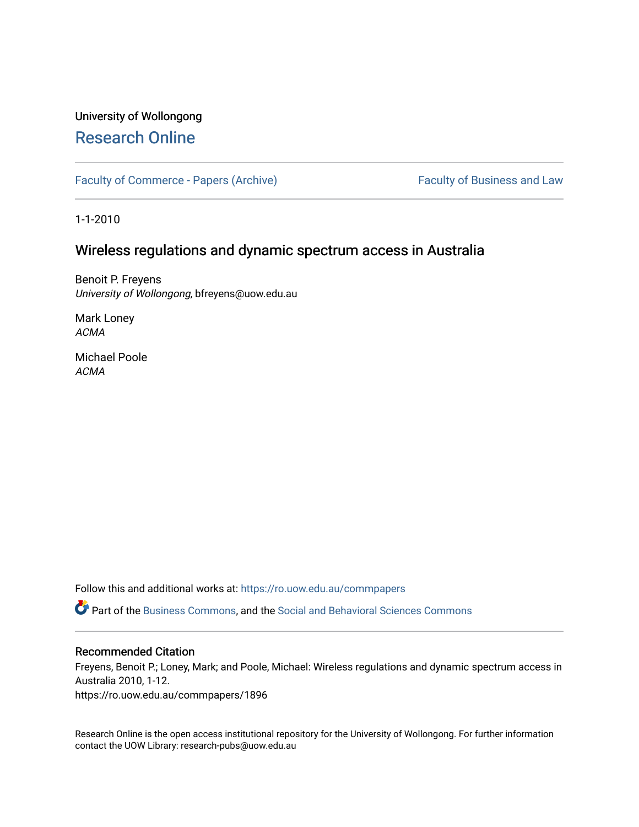# University of Wollongong [Research Online](https://ro.uow.edu.au/)

[Faculty of Commerce - Papers \(Archive\)](https://ro.uow.edu.au/commpapers) Faculty of Business and Law

1-1-2010

# Wireless regulations and dynamic spectrum access in Australia

Benoit P. Freyens University of Wollongong, bfreyens@uow.edu.au

Mark Loney ACMA

Michael Poole ACMA

Follow this and additional works at: [https://ro.uow.edu.au/commpapers](https://ro.uow.edu.au/commpapers?utm_source=ro.uow.edu.au%2Fcommpapers%2F1896&utm_medium=PDF&utm_campaign=PDFCoverPages) 

Part of the [Business Commons](http://network.bepress.com/hgg/discipline/622?utm_source=ro.uow.edu.au%2Fcommpapers%2F1896&utm_medium=PDF&utm_campaign=PDFCoverPages), and the [Social and Behavioral Sciences Commons](http://network.bepress.com/hgg/discipline/316?utm_source=ro.uow.edu.au%2Fcommpapers%2F1896&utm_medium=PDF&utm_campaign=PDFCoverPages) 

### Recommended Citation

Freyens, Benoit P.; Loney, Mark; and Poole, Michael: Wireless regulations and dynamic spectrum access in Australia 2010, 1-12.

https://ro.uow.edu.au/commpapers/1896

Research Online is the open access institutional repository for the University of Wollongong. For further information contact the UOW Library: research-pubs@uow.edu.au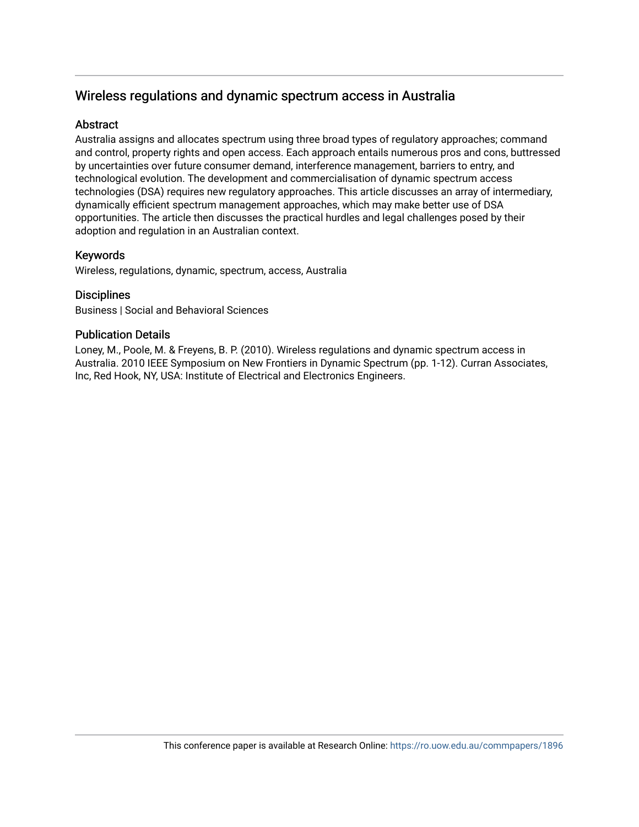# Wireless regulations and dynamic spectrum access in Australia

# Abstract

Australia assigns and allocates spectrum using three broad types of regulatory approaches; command and control, property rights and open access. Each approach entails numerous pros and cons, buttressed by uncertainties over future consumer demand, interference management, barriers to entry, and technological evolution. The development and commercialisation of dynamic spectrum access technologies (DSA) requires new regulatory approaches. This article discusses an array of intermediary, dynamically efficient spectrum management approaches, which may make better use of DSA opportunities. The article then discusses the practical hurdles and legal challenges posed by their adoption and regulation in an Australian context.

# Keywords

Wireless, regulations, dynamic, spectrum, access, Australia

## **Disciplines**

Business | Social and Behavioral Sciences

## Publication Details

Loney, M., Poole, M. & Freyens, B. P. (2010). Wireless regulations and dynamic spectrum access in Australia. 2010 IEEE Symposium on New Frontiers in Dynamic Spectrum (pp. 1-12). Curran Associates, Inc, Red Hook, NY, USA: Institute of Electrical and Electronics Engineers.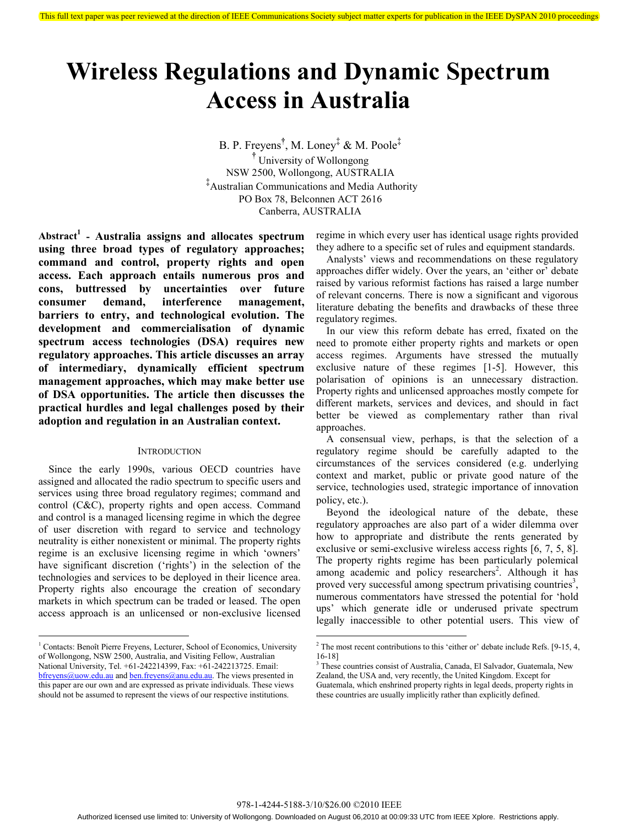# **Wireless Regulations and Dynamic Spectrum Access in Australia**

B. P. Freyens**†** , M. Loney‡ & M. Poole‡ **†** University of Wollongong NSW 2500, Wollongong, AUSTRALIA ‡ Australian Communications and Media Authority PO Box 78, Belconnen ACT 2616 Canberra, AUSTRALIA

**Abstract<sup>1</sup> - Australia assigns and allocates spectrum using three broad types of regulatory approaches; command and control, property rights and open access. Each approach entails numerous pros and cons, buttressed by uncertainties over future consumer demand, interference management, barriers to entry, and technological evolution. The development and commercialisation of dynamic spectrum access technologies (DSA) requires new regulatory approaches. This article discusses an array of intermediary, dynamically efficient spectrum management approaches, which may make better use of DSA opportunities. The article then discusses the practical hurdles and legal challenges posed by their adoption and regulation in an Australian context.** 

#### **INTRODUCTION**

Since the early 1990s, various OECD countries have assigned and allocated the radio spectrum to specific users and services using three broad regulatory regimes; command and control (C&C), property rights and open access. Command and control is a managed licensing regime in which the degree of user discretion with regard to service and technology neutrality is either nonexistent or minimal. The property rights regime is an exclusive licensing regime in which 'owners' have significant discretion ('rights') in the selection of the technologies and services to be deployed in their licence area. Property rights also encourage the creation of secondary markets in which spectrum can be traded or leased. The open access approach is an unlicensed or non-exclusive licensed

regime in which every user has identical usage rights provided they adhere to a specific set of rules and equipment standards.

Analysts' views and recommendations on these regulatory approaches differ widely. Over the years, an 'either or' debate raised by various reformist factions has raised a large number of relevant concerns. There is now a significant and vigorous literature debating the benefits and drawbacks of these three regulatory regimes.

In our view this reform debate has erred, fixated on the need to promote either property rights and markets or open access regimes. Arguments have stressed the mutually exclusive nature of these regimes [1-5]. However, this polarisation of opinions is an unnecessary distraction. Property rights and unlicensed approaches mostly compete for different markets, services and devices, and should in fact better be viewed as complementary rather than rival approaches.

A consensual view, perhaps, is that the selection of a regulatory regime should be carefully adapted to the circumstances of the services considered (e.g. underlying context and market, public or private good nature of the service, technologies used, strategic importance of innovation policy, etc.).

Beyond the ideological nature of the debate, these regulatory approaches are also part of a wider dilemma over how to appropriate and distribute the rents generated by exclusive or semi-exclusive wireless access rights [6, 7, 5, 8]. The property rights regime has been particularly polemical among academic and policy researchers<sup>2</sup>. Although it has proved very successful among spectrum privatising countries<sup>3</sup>, numerous commentators have stressed the potential for 'hold ups' which generate idle or underused private spectrum legally inaccessible to other potential users. This view of

 $\overline{a}$ <sup>1</sup> Contacts: Benoît Pierre Freyens, Lecturer, School of Economics, University of Wollongong, NSW 2500, Australia, and Visiting Fellow, Australian National University, Tel. +61-242214399, Fax: +61-242213725. Email: bfreyens@uow.edu.au and ben.freyens@anu.edu.au. The views presented in this paper are our own and are expressed as private individuals. These views should not be assumed to represent the views of our respective institutions.

<sup>&</sup>lt;sup>2</sup> The most recent contributions to this 'either or' debate include Refs. [9-15, 4, 16-18]

<sup>&</sup>lt;sup>3</sup> These countries consist of Australia, Canada, El Salvador, Guatemala, New Zealand, the USA and, very recently, the United Kingdom. Except for Guatemala, which enshrined property rights in legal deeds, property rights in these countries are usually implicitly rather than explicitly defined.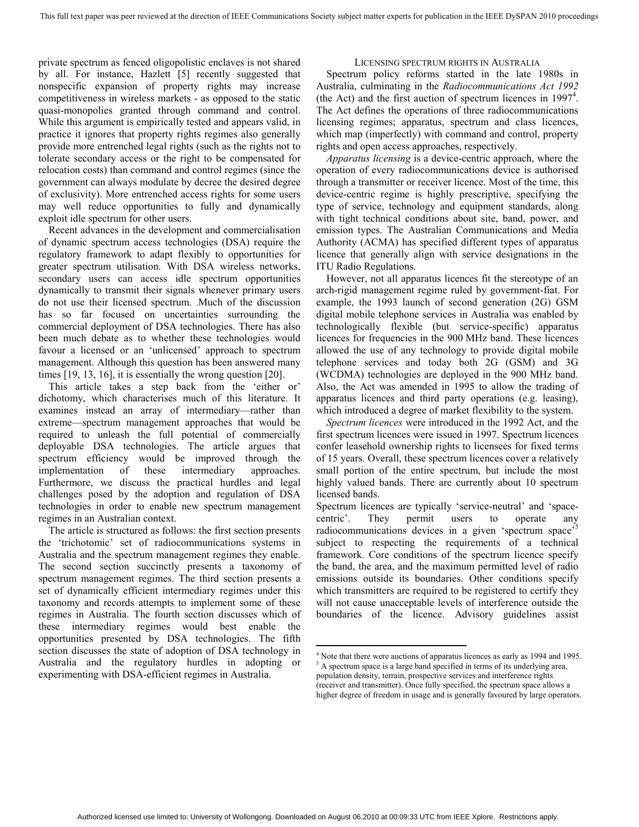private spectrum as fenced oligopolistic enclaves is not shared by all. For instance, Hazlett [5] recently suggested that nonspecific expansion of property rights may increase competitiveness in wireless markets - as opposed to the static quasi-monopolies granted through command and control. While this argument is empirically tested and appears valid, in practice it ignores that property rights regimes also generally provide more entrenched legal rights (such as the rights not to tolerate secondary access or the right to be compensated for relocation costs) than command and control regimes (since the government can always modulate by decree the desired degree of exclusivity). More entrenched access rights for some users may well reduce opportunities to fully and dynamically exploit idle spectrum for other users.

Recent advances in the development and commercialisation of dynamic spectrum access technologies (DSA) require the regulatory framework to adapt flexibly to opportunities for greater spectrum utilisation. With DSA wireless networks, secondary users can access idle spectrum opportunities dynamically to transmit their signals whenever primary users do not use their licensed spectrum. .Much of the discussion has so far focused on uncertainties surrounding the commercial deployment of DSA technologies. There has also been much debate as to whether these technologies would favour a licensed or an 'unlicensed' approach to spectrum management. Although this question has been answered many times [19, 13, 16], it is essentially the wrong question [20].

This article takes a step back from the 'either or' dichotomy, which characterises much of this literature. It examines instead an array of intermediary—rather than extreme—spectrum management approaches that would be required to unleash the full potential of commercially deployable DSA technologies. The article argues that spectrum efficiency would be improved through the implementation of these intermediary approaches. Furthermore, we discuss the practical hurdles and legal challenges posed by the adoption and regulation of DSA technologies in order to enable new spectrum management regimes in an Australian context.

The article is structured as follows: the first section presents the 'trichotomic' set of radiocommunications systems in Australia and the spectrum management regimes they enable. The second section succinctly presents a taxonomy of spectrum management regimes. The third section presents a set of dynamically efficient intermediary regimes under this taxonomy and records attempts to implement some of these regimes in Australia. The fourth section discusses which of these intermediary regimes would best enable the opportunities presented by DSA technologies. The fifth section discusses the state of adoption of DSA technology in Australia and the regulatory hurdles in adopting or experimenting with DSA-efficient regimes in Australia.

#### LICENSING SPECTRUM RIGHTS IN AUSTRALIA

Spectrum policy reforms started in the late 1980s in Australia, culminating in the *Radiocommunications Act 1992* (the Act) and the first auction of spectrum licences in  $1997<sup>4</sup>$ . The Act defines the operations of three radiocommunications licensing regimes; apparatus, spectrum and class licences, which map (imperfectly) with command and control, property rights and open access approaches, respectively.

*Apparatus licensing* is a device-centric approach, where the operation of every radiocommunications device is authorised through a transmitter or receiver licence. Most of the time, this device-centric regime is highly prescriptive, specifying the type of service, technology and equipment standards, along with tight technical conditions about site, band, power, and emission types. The Australian Communications and Media Authority (ACMA) has specified different types of apparatus licence that generally align with service designations in the ITU Radio Regulations.

However, not all apparatus licences fit the stereotype of an arch-rigid management regime ruled by government-fiat. For example, the 1993 launch of second generation (2G) GSM digital mobile telephone services in Australia was enabled by technologically flexible (but service-specific) apparatus licences for frequencies in the 900 MHz band. These licences allowed the use of any technology to provide digital mobile telephone services and today both 2G (GSM) and 3G (WCDMA) technologies are deployed in the 900 MHz band. Also, the Act was amended in 1995 to allow the trading of apparatus licences and third party operations (e.g. leasing), which introduced a degree of market flexibility to the system.

*Spectrum licences* were introduced in the 1992 Act, and the first spectrum licences were issued in 1997. Spectrum licences confer leasehold ownership rights to licensees for fixed terms of 15 years. Overall, these spectrum licences cover a relatively small portion of the entire spectrum, but include the most highly valued bands. There are currently about 10 spectrum licensed bands.

Spectrum licences are typically 'service-neutral' and 'spacecentric'. They permit users to operate any radiocommunications devices in a given 'spectrum space'<sup>5</sup> subject to respecting the requirements of a technical framework. Core conditions of the spectrum licence specify the band, the area, and the maximum permitted level of radio emissions outside its boundaries. Other conditions specify which transmitters are required to be registered to certify they will not cause unacceptable levels of interference outside the boundaries of the licence. Advisory guidelines assist

<sup>&</sup>lt;sup>4</sup> Note that there were auctions of apparatus licences as early as 1994 and 1995. <sup>5</sup> A spectrum space is a large band specified in terms of its underlying area, population density, terrain, prospective services and interference rights (receiver and transmitter). Once fully specified, the spectrum space allows a higher degree of freedom in usage and is generally favoured by large operators.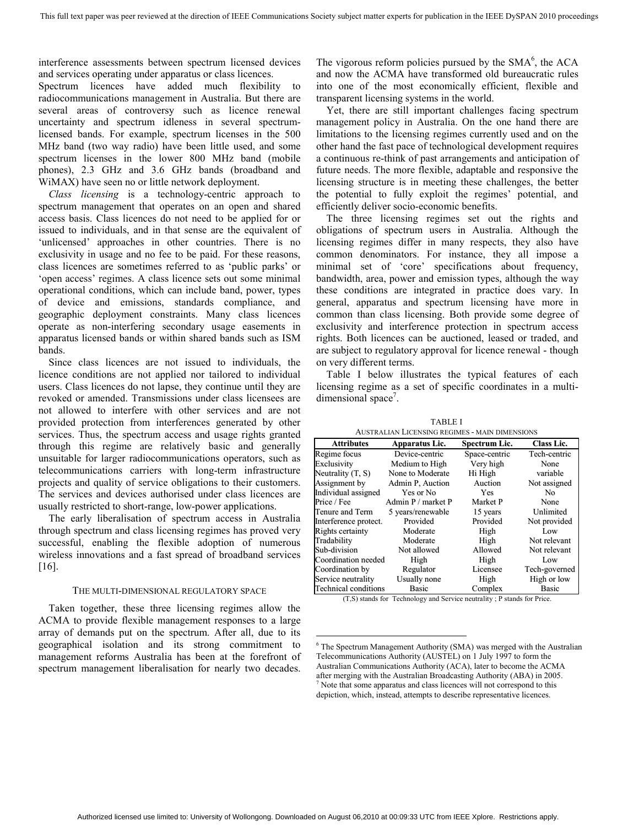interference assessments between spectrum licensed devices and services operating under apparatus or class licences.

Spectrum licences have added much flexibility to radiocommunications management in Australia. But there are several areas of controversy such as licence renewal uncertainty and spectrum idleness in several spectrumlicensed bands. For example, spectrum licenses in the 500 MHz band (two way radio) have been little used, and some spectrum licenses in the lower 800 MHz band (mobile phones), 2.3 GHz and 3.6 GHz bands (broadband and WiMAX) have seen no or little network deployment.

*Class licensing* is a technology-centric approach to spectrum management that operates on an open and shared access basis. Class licences do not need to be applied for or issued to individuals, and in that sense are the equivalent of 'unlicensed' approaches in other countries. There is no exclusivity in usage and no fee to be paid. For these reasons, class licences are sometimes referred to as 'public parks' or 'open access' regimes. A class licence sets out some minimal operational conditions, which can include band, power, types of device and emissions, standards compliance, and geographic deployment constraints. Many class licences operate as non-interfering secondary usage easements in apparatus licensed bands or within shared bands such as ISM bands.

Since class licences are not issued to individuals, the licence conditions are not applied nor tailored to individual users. Class licences do not lapse, they continue until they are revoked or amended. Transmissions under class licensees are not allowed to interfere with other services and are not provided protection from interferences generated by other services. Thus, the spectrum access and usage rights granted through this regime are relatively basic and generally unsuitable for larger radiocommunications operators, such as telecommunications carriers with long-term infrastructure projects and quality of service obligations to their customers. The services and devices authorised under class licences are usually restricted to short-range, low-power applications.

The early liberalisation of spectrum access in Australia through spectrum and class licensing regimes has proved very successful, enabling the flexible adoption of numerous wireless innovations and a fast spread of broadband services [16].

#### THE MULTI-DIMENSIONAL REGULATORY SPACE

Taken together, these three licensing regimes allow the ACMA to provide flexible management responses to a large array of demands put on the spectrum. After all, due to its geographical isolation and its strong commitment to management reforms Australia has been at the forefront of spectrum management liberalisation for nearly two decades.

The vigorous reform policies pursued by the  $SMA<sup>6</sup>$ , the ACA and now the ACMA have transformed old bureaucratic rules into one of the most economically efficient, flexible and transparent licensing systems in the world.

Yet, there are still important challenges facing spectrum management policy in Australia. On the one hand there are limitations to the licensing regimes currently used and on the other hand the fast pace of technological development requires a continuous re-think of past arrangements and anticipation of future needs. The more flexible, adaptable and responsive the licensing structure is in meeting these challenges, the better the potential to fully exploit the regimes' potential, and efficiently deliver socio-economic benefits.

The three licensing regimes set out the rights and obligations of spectrum users in Australia. Although the licensing regimes differ in many respects, they also have common denominators. For instance, they all impose a minimal set of 'core' specifications about frequency, bandwidth, area, power and emission types, although the way these conditions are integrated in practice does vary. In general, apparatus and spectrum licensing have more in common than class licensing. Both provide some degree of exclusivity and interference protection in spectrum access rights. Both licences can be auctioned, leased or traded, and are subject to regulatory approval for licence renewal - though on very different terms.

Table I below illustrates the typical features of each licensing regime as a set of specific coordinates in a multidimensional space<sup>7</sup>.

TABLE I

| <b>AUSTRALIAN LICENSING REGIMES - MAIN DIMENSIONS</b> |                    |               |                   |  |  |  |
|-------------------------------------------------------|--------------------|---------------|-------------------|--|--|--|
| <b>Attributes</b>                                     | Apparatus Lic.     | Spectrum Lic. | <b>Class Lic.</b> |  |  |  |
| Regime focus                                          | Device-centric     | Space-centric | Tech-centric      |  |  |  |
| Exclusivity                                           | Medium to High     | Very high     | None              |  |  |  |
| Neutrality $(T, S)$                                   | None to Moderate   | Hi High       | variable          |  |  |  |
| Assignment by                                         | Admin P. Auction   | Auction       | Not assigned      |  |  |  |
| Individual assigned                                   | Yes or No          | <b>Yes</b>    | No.               |  |  |  |
| Price / Fee                                           | Admin P / market P | Market P      | None              |  |  |  |
| Tenure and Term                                       | 5 years/renewable  | 15 years      | Unlimited         |  |  |  |
| Interference protect.                                 | Provided           | Provided      | Not provided      |  |  |  |
| Rights certainty                                      | Moderate           | High          | Low               |  |  |  |
| Tradability                                           | Moderate           | High          | Not relevant      |  |  |  |
| Sub-division                                          | Not allowed        | Allowed       | Not relevant      |  |  |  |
| Coordination needed                                   | High               | High          | Low               |  |  |  |
| Coordination by                                       | Regulator          | Licensee      | Tech-governed     |  |  |  |
| Service neutrality                                    | Usually none       | High          | High or low       |  |  |  |
| <b>Technical conditions</b>                           | Basic              | Complex       | Basic             |  |  |  |

(T,S) stands for Technology and Service neutrality ; P stands for Price.

<sup>&</sup>lt;sup>6</sup> The Spectrum Management Authority (SMA) was merged with the Australian Telecommunications Authority (AUSTEL) on 1 July 1997 to form the Australian Communications Authority (ACA), later to become the ACMA after merging with the Australian Broadcasting Authority (ABA) in 2005. <sup>7</sup> Note that some apparatus and class licences will not correspond to this depiction, which, instead, attempts to describe representative licences.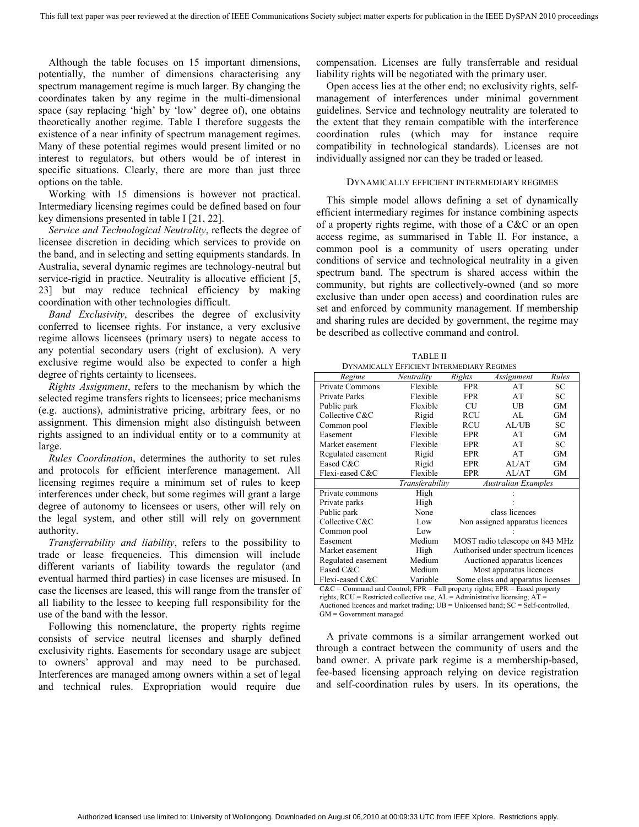Although the table focuses on 15 important dimensions, potentially, the number of dimensions characterising any spectrum management regime is much larger. By changing the coordinates taken by any regime in the multi-dimensional space (say replacing 'high' by 'low' degree of), one obtains theoretically another regime. Table I therefore suggests the existence of a near infinity of spectrum management regimes. Many of these potential regimes would present limited or no interest to regulators, but others would be of interest in specific situations. Clearly, there are more than just three options on the table.

Working with 15 dimensions is however not practical. Intermediary licensing regimes could be defined based on four key dimensions presented in table I [21, 22].

*Service and Technological Neutrality*, reflects the degree of licensee discretion in deciding which services to provide on the band, and in selecting and setting equipments standards. In Australia, several dynamic regimes are technology-neutral but service-rigid in practice. Neutrality is allocative efficient [5, 23] but may reduce technical efficiency by making coordination with other technologies difficult.

*Band Exclusivity*, describes the degree of exclusivity conferred to licensee rights. For instance, a very exclusive regime allows licensees (primary users) to negate access to any potential secondary users (right of exclusion). A very exclusive regime would also be expected to confer a high degree of rights certainty to licensees.

*Rights Assignment*, refers to the mechanism by which the selected regime transfers rights to licensees; price mechanisms (e.g. auctions), administrative pricing, arbitrary fees, or no assignment. This dimension might also distinguish between rights assigned to an individual entity or to a community at large.

*Rules Coordination*, determines the authority to set rules and protocols for efficient interference management. All licensing regimes require a minimum set of rules to keep interferences under check, but some regimes will grant a large degree of autonomy to licensees or users, other will rely on the legal system, and other still will rely on government authority.

*Transferrability and liability*, refers to the possibility to trade or lease frequencies. This dimension will include different variants of liability towards the regulator (and eventual harmed third parties) in case licenses are misused. In case the licenses are leased, this will range from the transfer of all liability to the lessee to keeping full responsibility for the use of the band with the lessor.

Following this nomenclature, the property rights regime consists of service neutral licenses and sharply defined exclusivity rights. Easements for secondary usage are subject to owners' approval and may need to be purchased. Interferences are managed among owners within a set of legal and technical rules. Expropriation would require due

compensation. Licenses are fully transferrable and residual liability rights will be negotiated with the primary user.

Open access lies at the other end; no exclusivity rights, selfmanagement of interferences under minimal government guidelines. Service and technology neutrality are tolerated to the extent that they remain compatible with the interference coordination rules (which may for instance require compatibility in technological standards). Licenses are not individually assigned nor can they be traded or leased.

#### DYNAMICALLY EFFICIENT INTERMEDIARY REGIMES

This simple model allows defining a set of dynamically efficient intermediary regimes for instance combining aspects of a property rights regime, with those of a C&C or an open access regime, as summarised in Table II. For instance, a common pool is a community of users operating under conditions of service and technological neutrality in a given spectrum band. The spectrum is shared access within the community, but rights are collectively-owned (and so more exclusive than under open access) and coordination rules are set and enforced by community management. If membership and sharing rules are decided by government, the regime may be described as collective command and control.

TABLE II DYNAMICALLY EFFICIENT INTERMEDIARY REGIMES

| Regime             | Neutrality      | Rights                             | Assignment                 | Rules     |
|--------------------|-----------------|------------------------------------|----------------------------|-----------|
| Private Commons    | Flexible        | <b>FPR</b>                         | AT                         | SС        |
| Private Parks      | Flexible        | <b>FPR</b>                         | AT                         | SС        |
| Public park        | Flexible        | CU                                 | UB                         | GМ        |
| Collective C&C     | Rigid           | <b>RCU</b>                         | AI.                        | <b>GM</b> |
| Common pool        | Flexible        | RCU                                | AI/UB                      | SС        |
| Easement           | Flexible        | <b>EPR</b>                         | AT                         | <b>GM</b> |
| Market easement    | Flexible        | EPR                                | AT                         | SС        |
| Regulated easement | Rigid           | EPR                                | AT                         | GМ        |
| Eased C&C          | Rigid           | EPR                                | AI/AT                      | GМ        |
| Flexi-eased C&C    | Flexible        | <b>EPR</b>                         | AL/AT                      | GМ        |
|                    | Transferability |                                    | <b>Australian Examples</b> |           |
| Private commons    | High            |                                    |                            |           |
| Private parks      | High            |                                    |                            |           |
| Public park        | None            | class licences                     |                            |           |
| Collective C&C     | Low             | Non assigned apparatus licences    |                            |           |
| Common pool        | Low             |                                    |                            |           |
| Easement           | Medium          | MOST radio telescope on 843 MHz    |                            |           |
| Market easement    | High            | Authorised under spectrum licences |                            |           |
| Regulated easement | Medium          | Auctioned apparatus licences       |                            |           |
| Eased C&C          | Medium          | Most apparatus licences            |                            |           |
| Flexi-eased C&C    | Variable        | Some class and apparatus licenses  |                            |           |

C&C = Command and Control; FPR = Full property rights; EPR = Eased property rights,  $RCU =$  Restricted collective use,  $AL =$  Administrative licensing;  $AT =$ Auctioned licences and market trading; UB = Unlicensed band; SC = Self-controlled, GM = Government managed

A private commons is a similar arrangement worked out through a contract between the community of users and the band owner. A private park regime is a membership-based, fee-based licensing approach relying on device registration and self-coordination rules by users. In its operations, the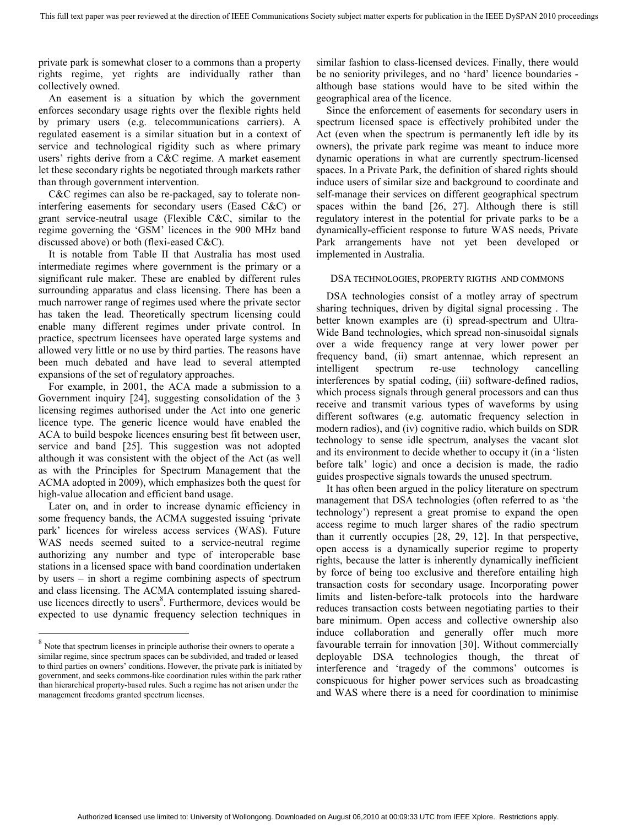private park is somewhat closer to a commons than a property rights regime, yet rights are individually rather than collectively owned.

An easement is a situation by which the government enforces secondary usage rights over the flexible rights held by primary users (e.g. telecommunications carriers). A regulated easement is a similar situation but in a context of service and technological rigidity such as where primary users' rights derive from a C&C regime. A market easement let these secondary rights be negotiated through markets rather than through government intervention.

C&C regimes can also be re-packaged, say to tolerate noninterfering easements for secondary users (Eased C&C) or grant service-neutral usage (Flexible C&C, similar to the regime governing the 'GSM' licences in the 900 MHz band discussed above) or both (flexi-eased C&C).

It is notable from Table II that Australia has most used intermediate regimes where government is the primary or a significant rule maker. These are enabled by different rules surrounding apparatus and class licensing. There has been a much narrower range of regimes used where the private sector has taken the lead. Theoretically spectrum licensing could enable many different regimes under private control. In practice, spectrum licensees have operated large systems and allowed very little or no use by third parties. The reasons have been much debated and have lead to several attempted expansions of the set of regulatory approaches.

For example, in 2001, the ACA made a submission to a Government inquiry [24], suggesting consolidation of the 3 licensing regimes authorised under the Act into one generic licence type. The generic licence would have enabled the ACA to build bespoke licences ensuring best fit between user, service and band [25]. This suggestion was not adopted although it was consistent with the object of the Act (as well as with the Principles for Spectrum Management that the ACMA adopted in 2009), which emphasizes both the quest for high-value allocation and efficient band usage.

Later on, and in order to increase dynamic efficiency in some frequency bands, the ACMA suggested issuing 'private park' licences for wireless access services (WAS). Future WAS needs seemed suited to a service-neutral regime authorizing any number and type of interoperable base stations in a licensed space with band coordination undertaken by users – in short a regime combining aspects of spectrum and class licensing. The ACMA contemplated issuing shareduse licences directly to users<sup>8</sup>. Furthermore, devices would be expected to use dynamic frequency selection techniques in

 $\overline{a}$ 

similar fashion to class-licensed devices. Finally, there would be no seniority privileges, and no 'hard' licence boundaries although base stations would have to be sited within the geographical area of the licence.

Since the enforcement of easements for secondary users in spectrum licensed space is effectively prohibited under the Act (even when the spectrum is permanently left idle by its owners), the private park regime was meant to induce more dynamic operations in what are currently spectrum-licensed spaces. In a Private Park, the definition of shared rights should induce users of similar size and background to coordinate and self-manage their services on different geographical spectrum spaces within the band [26, 27]. Although there is still regulatory interest in the potential for private parks to be a dynamically-efficient response to future WAS needs, Private Park arrangements have not yet been developed or implemented in Australia.

#### DSA TECHNOLOGIES, PROPERTY RIGTHS AND COMMONS

DSA technologies consist of a motley array of spectrum sharing techniques, driven by digital signal processing . The better known examples are (i) spread-spectrum and Ultra-Wide Band technologies, which spread non-sinusoidal signals over a wide frequency range at very lower power per frequency band, (ii) smart antennae, which represent an intelligent spectrum re-use technology cancelling interferences by spatial coding, (iii) software-defined radios, which process signals through general processors and can thus receive and transmit various types of waveforms by using different softwares (e.g. automatic frequency selection in modern radios), and (iv) cognitive radio, which builds on SDR technology to sense idle spectrum, analyses the vacant slot and its environment to decide whether to occupy it (in a 'listen before talk' logic) and once a decision is made, the radio guides prospective signals towards the unused spectrum.

It has often been argued in the policy literature on spectrum management that DSA technologies (often referred to as 'the technology') represent a great promise to expand the open access regime to much larger shares of the radio spectrum than it currently occupies [28, 29, 12]. In that perspective, open access is a dynamically superior regime to property rights, because the latter is inherently dynamically inefficient by force of being too exclusive and therefore entailing high transaction costs for secondary usage. Incorporating power limits and listen-before-talk protocols into the hardware reduces transaction costs between negotiating parties to their bare minimum. Open access and collective ownership also induce collaboration and generally offer much more favourable terrain for innovation [30]. Without commercially deployable DSA technologies though, the threat of interference and 'tragedy of the commons' outcomes is conspicuous for higher power services such as broadcasting and WAS where there is a need for coordination to minimise

 $8$  Note that spectrum licenses in principle authorise their owners to operate a similar regime, since spectrum spaces can be subdivided, and traded or leased to third parties on owners' conditions. However, the private park is initiated by government, and seeks commons-like coordination rules within the park rather than hierarchical property-based rules. Such a regime has not arisen under the management freedoms granted spectrum licenses.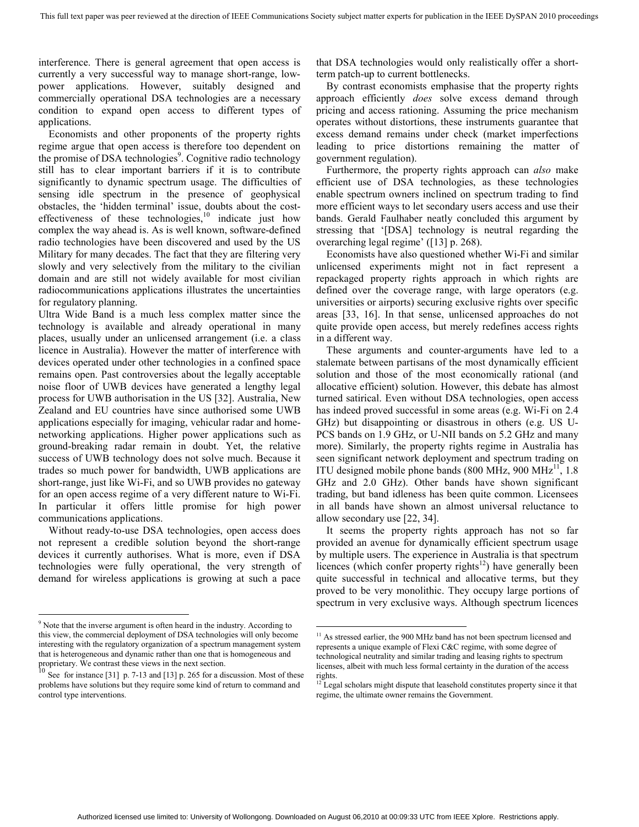interference. There is general agreement that open access is currently a very successful way to manage short-range, lowpower applications. However, suitably designed and commercially operational DSA technologies are a necessary condition to expand open access to different types of applications.

Economists and other proponents of the property rights regime argue that open access is therefore too dependent on the promise of DSA technologies<sup>9</sup>. Cognitive radio technology still has to clear important barriers if it is to contribute significantly to dynamic spectrum usage. The difficulties of sensing idle spectrum in the presence of geophysical obstacles, the 'hidden terminal' issue, doubts about the costeffectiveness of these technologies, $10$  indicate just how complex the way ahead is. As is well known, software-defined radio technologies have been discovered and used by the US Military for many decades. The fact that they are filtering very slowly and very selectively from the military to the civilian domain and are still not widely available for most civilian radiocommunications applications illustrates the uncertainties for regulatory planning.

Ultra Wide Band is a much less complex matter since the technology is available and already operational in many places, usually under an unlicensed arrangement (i.e. a class licence in Australia). However the matter of interference with devices operated under other technologies in a confined space remains open. Past controversies about the legally acceptable noise floor of UWB devices have generated a lengthy legal process for UWB authorisation in the US [32]. Australia, New Zealand and EU countries have since authorised some UWB applications especially for imaging, vehicular radar and homenetworking applications. Higher power applications such as ground-breaking radar remain in doubt. Yet, the relative success of UWB technology does not solve much. Because it trades so much power for bandwidth, UWB applications are short-range, just like Wi-Fi, and so UWB provides no gateway for an open access regime of a very different nature to Wi-Fi. In particular it offers little promise for high power communications applications.

Without ready-to-use DSA technologies, open access does not represent a credible solution beyond the short-range devices it currently authorises. What is more, even if DSA technologies were fully operational, the very strength of demand for wireless applications is growing at such a pace

<sup>9</sup> Note that the inverse argument is often heard in the industry. According to this view, the commercial deployment of DSA technologies will only become interesting with the regulatory organization of a spectrum management system that is heterogeneous and dynamic rather than one that is homogeneous and

 $\overline{a}$ 

that DSA technologies would only realistically offer a shortterm patch-up to current bottlenecks.

By contrast economists emphasise that the property rights approach efficiently *does* solve excess demand through pricing and access rationing. Assuming the price mechanism operates without distortions, these instruments guarantee that excess demand remains under check (market imperfections leading to price distortions remaining the matter of government regulation).

Furthermore, the property rights approach can *also* make efficient use of DSA technologies, as these technologies enable spectrum owners inclined on spectrum trading to find more efficient ways to let secondary users access and use their bands. Gerald Faulhaber neatly concluded this argument by stressing that '[DSA] technology is neutral regarding the overarching legal regime' ([13] p. 268).

Economists have also questioned whether Wi-Fi and similar unlicensed experiments might not in fact represent a repackaged property rights approach in which rights are defined over the coverage range, with large operators (e.g. universities or airports) securing exclusive rights over specific areas [33, 16]. In that sense, unlicensed approaches do not quite provide open access, but merely redefines access rights in a different way.

These arguments and counter-arguments have led to a stalemate between partisans of the most dynamically efficient solution and those of the most economically rational (and allocative efficient) solution. However, this debate has almost turned satirical. Even without DSA technologies, open access has indeed proved successful in some areas (e.g. Wi-Fi on 2.4 GHz) but disappointing or disastrous in others (e.g. US U-PCS bands on 1.9 GHz, or U-NII bands on 5.2 GHz and many more). Similarly, the property rights regime in Australia has seen significant network deployment and spectrum trading on ITU designed mobile phone bands (800 MHz, 900 MHz $^{11}$ , 1.8) GHz and 2.0 GHz). Other bands have shown significant trading, but band idleness has been quite common. Licensees in all bands have shown an almost universal reluctance to allow secondary use [22, 34].

It seems the property rights approach has not so far provided an avenue for dynamically efficient spectrum usage by multiple users. The experience in Australia is that spectrum licences (which confer property rights<sup>12</sup>) have generally been quite successful in technical and allocative terms, but they proved to be very monolithic. They occupy large portions of spectrum in very exclusive ways. Although spectrum licences

proprietary. We contrast these views in the next section.<br><sup>10</sup> See for instance [31] p. 7-13 and [13] p. 265 for a discussion. Most of these problems have solutions but they require some kind of return to command and control type interventions.

 $11$  As stressed earlier, the 900 MHz band has not been spectrum licensed and represents a unique example of Flexi C&C regime, with some degree of technological neutrality and similar trading and leasing rights to spectrum licenses, albeit with much less formal certainty in the duration of the access rights.

 $12$  Legal scholars might dispute that leasehold constitutes property since it that regime, the ultimate owner remains the Government.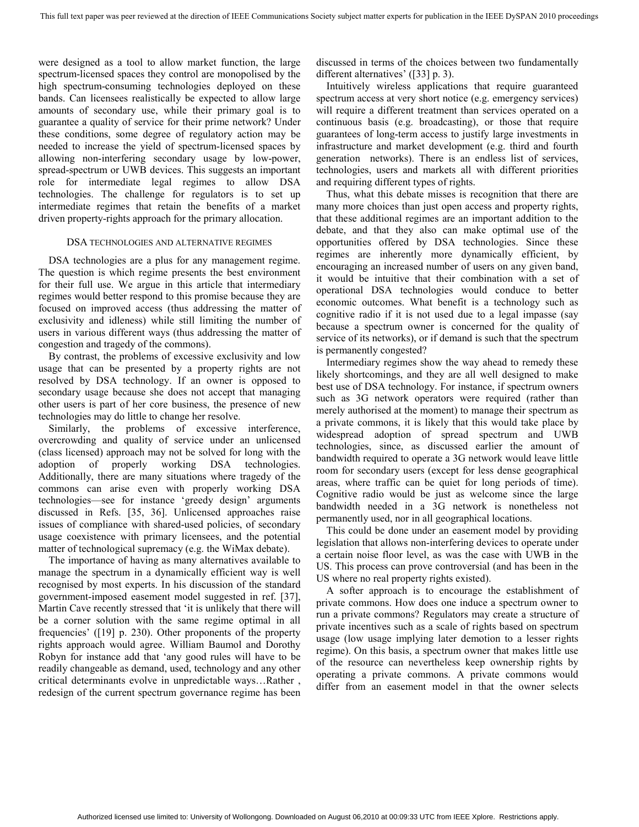were designed as a tool to allow market function, the large spectrum-licensed spaces they control are monopolised by the high spectrum-consuming technologies deployed on these bands. Can licensees realistically be expected to allow large amounts of secondary use, while their primary goal is to guarantee a quality of service for their prime network? Under these conditions, some degree of regulatory action may be needed to increase the yield of spectrum-licensed spaces by allowing non-interfering secondary usage by low-power, spread-spectrum or UWB devices. This suggests an important role for intermediate legal regimes to allow DSA technologies. The challenge for regulators is to set up intermediate regimes that retain the benefits of a market driven property-rights approach for the primary allocation.

#### DSA TECHNOLOGIES AND ALTERNATIVE REGIMES

DSA technologies are a plus for any management regime. The question is which regime presents the best environment for their full use. We argue in this article that intermediary regimes would better respond to this promise because they are focused on improved access (thus addressing the matter of exclusivity and idleness) while still limiting the number of users in various different ways (thus addressing the matter of congestion and tragedy of the commons).

By contrast, the problems of excessive exclusivity and low usage that can be presented by a property rights are not resolved by DSA technology. If an owner is opposed to secondary usage because she does not accept that managing other users is part of her core business, the presence of new technologies may do little to change her resolve.

Similarly, the problems of excessive interference, overcrowding and quality of service under an unlicensed (class licensed) approach may not be solved for long with the adoption of properly working DSA technologies. Additionally, there are many situations where tragedy of the commons can arise even with properly working DSA technologies—see for instance 'greedy design' arguments discussed in Refs. [35, 36]. Unlicensed approaches raise issues of compliance with shared-used policies, of secondary usage coexistence with primary licensees, and the potential matter of technological supremacy (e.g. the WiMax debate).

The importance of having as many alternatives available to manage the spectrum in a dynamically efficient way is well recognised by most experts. In his discussion of the standard government-imposed easement model suggested in ref. [37], Martin Cave recently stressed that 'it is unlikely that there will be a corner solution with the same regime optimal in all frequencies' ([19] p. 230). Other proponents of the property rights approach would agree. William Baumol and Dorothy Robyn for instance add that 'any good rules will have to be readily changeable as demand, used, technology and any other critical determinants evolve in unpredictable ways…Rather , redesign of the current spectrum governance regime has been discussed in terms of the choices between two fundamentally different alternatives' ([33] p. 3).

Intuitively wireless applications that require guaranteed spectrum access at very short notice (e.g. emergency services) will require a different treatment than services operated on a continuous basis (e.g. broadcasting), or those that require guarantees of long-term access to justify large investments in infrastructure and market development (e.g. third and fourth generation networks). There is an endless list of services, technologies, users and markets all with different priorities and requiring different types of rights.

Thus, what this debate misses is recognition that there are many more choices than just open access and property rights, that these additional regimes are an important addition to the debate, and that they also can make optimal use of the opportunities offered by DSA technologies. Since these regimes are inherently more dynamically efficient, by encouraging an increased number of users on any given band, it would be intuitive that their combination with a set of operational DSA technologies would conduce to better economic outcomes. What benefit is a technology such as cognitive radio if it is not used due to a legal impasse (say because a spectrum owner is concerned for the quality of service of its networks), or if demand is such that the spectrum is permanently congested?

Intermediary regimes show the way ahead to remedy these likely shortcomings, and they are all well designed to make best use of DSA technology. For instance, if spectrum owners such as 3G network operators were required (rather than merely authorised at the moment) to manage their spectrum as a private commons, it is likely that this would take place by widespread adoption of spread spectrum and UWB technologies, since, as discussed earlier the amount of bandwidth required to operate a 3G network would leave little room for secondary users (except for less dense geographical areas, where traffic can be quiet for long periods of time). Cognitive radio would be just as welcome since the large bandwidth needed in a 3G network is nonetheless not permanently used, nor in all geographical locations.

This could be done under an easement model by providing legislation that allows non-interfering devices to operate under a certain noise floor level, as was the case with UWB in the US. This process can prove controversial (and has been in the US where no real property rights existed).

A softer approach is to encourage the establishment of private commons. How does one induce a spectrum owner to run a private commons? Regulators may create a structure of private incentives such as a scale of rights based on spectrum usage (low usage implying later demotion to a lesser rights regime). On this basis, a spectrum owner that makes little use of the resource can nevertheless keep ownership rights by operating a private commons. A private commons would differ from an easement model in that the owner selects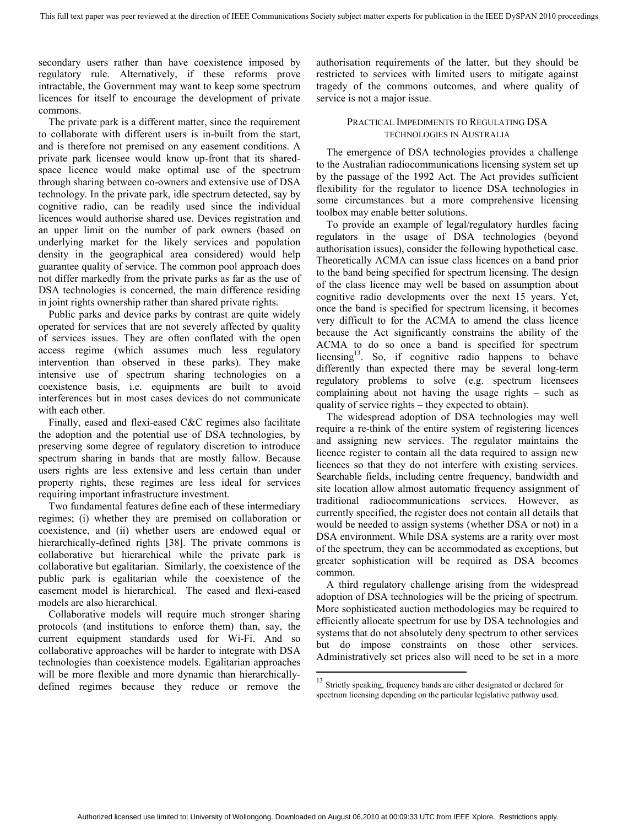secondary users rather than have coexistence imposed by regulatory rule. Alternatively, if these reforms prove intractable, the Government may want to keep some spectrum licences for itself to encourage the development of private commons.

The private park is a different matter, since the requirement to collaborate with different users is in-built from the start, and is therefore not premised on any easement conditions. A private park licensee would know up-front that its sharedspace licence would make optimal use of the spectrum through sharing between co-owners and extensive use of DSA technology. In the private park, idle spectrum detected, say by cognitive radio, can be readily used since the individual licences would authorise shared use. Devices registration and an upper limit on the number of park owners (based on underlying market for the likely services and population density in the geographical area considered) would help guarantee quality of service. The common pool approach does not differ markedly from the private parks as far as the use of DSA technologies is concerned, the main difference residing in joint rights ownership rather than shared private rights.

Public parks and device parks by contrast are quite widely operated for services that are not severely affected by quality of services issues. They are often conflated with the open access regime (which assumes much less regulatory intervention than observed in these parks). They make intensive use of spectrum sharing technologies on a coexistence basis, i.e. equipments are built to avoid interferences but in most cases devices do not communicate with each other.

Finally, eased and flexi-eased C&C regimes also facilitate the adoption and the potential use of DSA technologies, by preserving some degree of regulatory discretion to introduce spectrum sharing in bands that are mostly fallow. Because users rights are less extensive and less certain than under property rights, these regimes are less ideal for services requiring important infrastructure investment.

Two fundamental features define each of these intermediary regimes; (i) whether they are premised on collaboration or coexistence, and (ii) whether users are endowed equal or hierarchically-defined rights [38]. The private commons is collaborative but hierarchical while the private park is collaborative but egalitarian. Similarly, the coexistence of the public park is egalitarian while the coexistence of the easement model is hierarchical. The eased and flexi-eased models are also hierarchical.

Collaborative models will require much stronger sharing protocols (and institutions to enforce them) than, say, the current equipment standards used for Wi-Fi. And so collaborative approaches will be harder to integrate with DSA technologies than coexistence models. Egalitarian approaches will be more flexible and more dynamic than hierarchicallydefined regimes because they reduce or remove the

authorisation requirements of the latter, but they should be restricted to services with limited users to mitigate against tragedy of the commons outcomes, and where quality of service is not a major issue.

#### PRACTICAL IMPEDIMENTS TO REGULATING DSA TECHNOLOGIES IN AUSTRALIA

The emergence of DSA technologies provides a challenge to the Australian radiocommunications licensing system set up by the passage of the 1992 Act. The Act provides sufficient flexibility for the regulator to licence DSA technologies in some circumstances but a more comprehensive licensing toolbox may enable better solutions.

To provide an example of legal/regulatory hurdles facing regulators in the usage of DSA technologies (beyond authorisation issues), consider the following hypothetical case. Theoretically ACMA can issue class licences on a band prior to the band being specified for spectrum licensing. The design of the class licence may well be based on assumption about cognitive radio developments over the next 15 years. Yet, once the band is specified for spectrum licensing, it becomes very difficult to for the ACMA to amend the class licence because the Act significantly constrains the ability of the ACMA to do so once a band is specified for spectrum licensing $13$ . So, if cognitive radio happens to behave differently than expected there may be several long-term regulatory problems to solve (e.g. spectrum licensees complaining about not having the usage rights – such as quality of service rights – they expected to obtain).

The widespread adoption of DSA technologies may well require a re-think of the entire system of registering licences and assigning new services. The regulator maintains the licence register to contain all the data required to assign new licences so that they do not interfere with existing services. Searchable fields, including centre frequency, bandwidth and site location allow almost automatic frequency assignment of traditional radiocommunications services. However, as currently specified, the register does not contain all details that would be needed to assign systems (whether DSA or not) in a DSA environment. While DSA systems are a rarity over most of the spectrum, they can be accommodated as exceptions, but greater sophistication will be required as DSA becomes common.

A third regulatory challenge arising from the widespread adoption of DSA technologies will be the pricing of spectrum. More sophisticated auction methodologies may be required to efficiently allocate spectrum for use by DSA technologies and systems that do not absolutely deny spectrum to other services but do impose constraints on those other services. Administratively set prices also will need to be set in a more

<sup>&</sup>lt;sup>13</sup> Strictly speaking, frequency bands are either designated or declared for spectrum licensing depending on the particular legislative pathway used.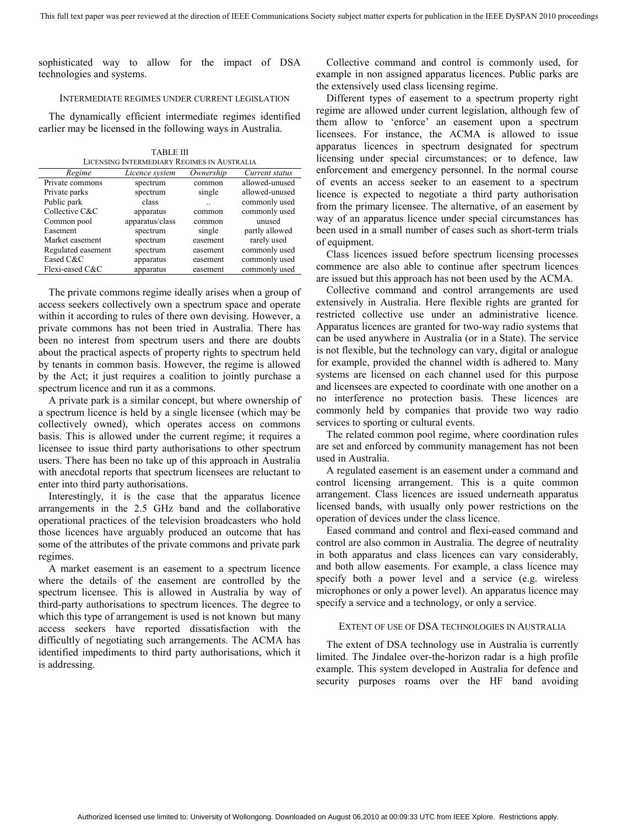sophisticated way to allow for the impact of DSA technologies and systems.

#### INTERMEDIATE REGIMES UNDER CURRENT LEGISLATION

The dynamically efficient intermediate regimes identified earlier may be licensed in the following ways in Australia.

TABLE III LICENSING INTERMEDIARY REGIMES IN AUSTRALIA

| Regime             | Licence system  | Ownership | Current status |
|--------------------|-----------------|-----------|----------------|
| Private commons    | spectrum        | common    | allowed-unused |
| Private parks      | spectrum        | single    | allowed-unused |
| Public park        | class           |           | commonly used  |
| Collective C&C     | apparatus       | common    | commonly used  |
| Common pool        | apparatus/class | common    | unused         |
| Easement           | spectrum        | single    | partly allowed |
| Market easement    | spectrum        | easement  | rarely used    |
| Regulated easement | spectrum        | easement  | commonly used  |
| Eased C&C          | apparatus       | easement  | commonly used  |
| Flexi-eased C&C    | apparatus       | easement  | commonly used  |

The private commons regime ideally arises when a group of access seekers collectively own a spectrum space and operate within it according to rules of there own devising. However, a private commons has not been tried in Australia. There has been no interest from spectrum users and there are doubts about the practical aspects of property rights to spectrum held by tenants in common basis. However, the regime is allowed by the Act; it just requires a coalition to jointly purchase a spectrum licence and run it as a commons.

A private park is a similar concept, but where ownership of a spectrum licence is held by a single licensee (which may be collectively owned), which operates access on commons basis. This is allowed under the current regime; it requires a licensee to issue third party authorisations to other spectrum users. There has been no take up of this approach in Australia with anecdotal reports that spectrum licensees are reluctant to enter into third party authorisations.

Interestingly, it is the case that the apparatus licence arrangements in the 2.5 GHz band and the collaborative operational practices of the television broadcasters who hold those licences have arguably produced an outcome that has some of the attributes of the private commons and private park regimes.

A market easement is an easement to a spectrum licence where the details of the easement are controlled by the spectrum licensee. This is allowed in Australia by way of third-party authorisations to spectrum licences. The degree to which this type of arrangement is used is not known but many access seekers have reported dissatisfaction with the difficultly of negotiating such arrangements. The ACMA has identified impediments to third party authorisations, which it is addressing.

Collective command and control is commonly used, for example in non assigned apparatus licences. Public parks are the extensively used class licensing regime.

Different types of easement to a spectrum property right regime are allowed under current legislation, although few of them allow to 'enforce' an easement upon a spectrum licensees. For instance, the ACMA is allowed to issue apparatus licences in spectrum designated for spectrum licensing under special circumstances; or to defence, law enforcement and emergency personnel. In the normal course of events an access seeker to an easement to a spectrum licence is expected to negotiate a third party authorisation from the primary licensee. The alternative, of an easement by way of an apparatus licence under special circumstances has been used in a small number of cases such as short-term trials of equipment.

Class licences issued before spectrum licensing processes commence are also able to continue after spectrum licences are issued but this approach has not been used by the ACMA.

Collective command and control arrangements are used extensively in Australia. Here flexible rights are granted for restricted collective use under an administrative licence. Apparatus licences are granted for two-way radio systems that can be used anywhere in Australia (or in a State). The service is not flexible, but the technology can vary, digital or analogue for example, provided the channel width is adhered to. Many systems are licensed on each channel used for this purpose and licensees are expected to coordinate with one another on a no interference no protection basis. These licences are commonly held by companies that provide two way radio services to sporting or cultural events.

The related common pool regime, where coordination rules are set and enforced by community management has not been used in Australia.

A regulated easement is an easement under a command and control licensing arrangement. This is a quite common arrangement. Class licences are issued underneath apparatus licensed bands, with usually only power restrictions on the operation of devices under the class licence.

Eased command and control and flexi-eased command and control are also common in Australia. The degree of neutrality in both apparatus and class licences can vary considerably, and both allow easements. For example, a class licence may specify both a power level and a service (e.g. wireless microphones or only a power level). An apparatus licence may specify a service and a technology, or only a service.

#### EXTENT OF USE OF DSA TECHNOLOGIES IN AUSTRALIA

The extent of DSA technology use in Australia is currently limited. The Jindalee over-the-horizon radar is a high profile example. This system developed in Australia for defence and security purposes roams over the HF band avoiding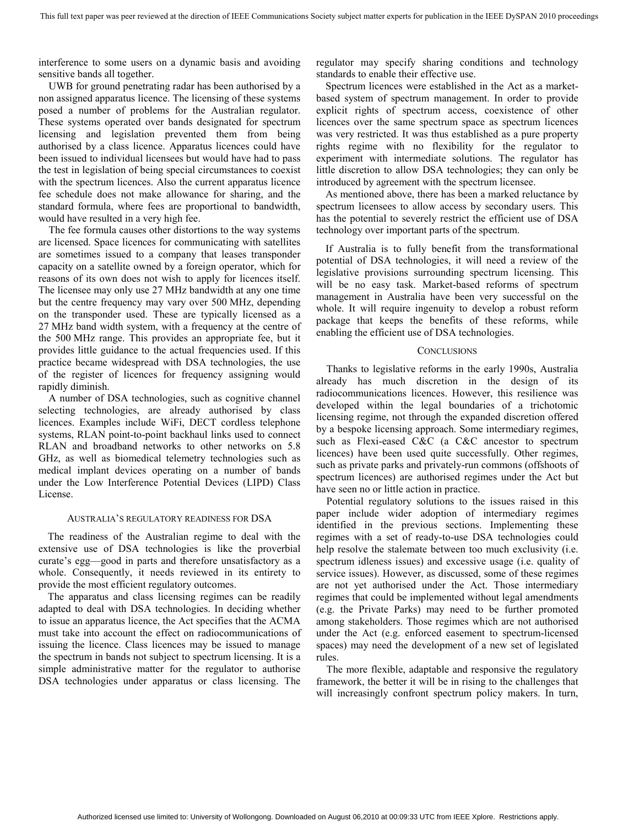interference to some users on a dynamic basis and avoiding sensitive bands all together.

UWB for ground penetrating radar has been authorised by a non assigned apparatus licence. The licensing of these systems posed a number of problems for the Australian regulator. These systems operated over bands designated for spectrum licensing and legislation prevented them from being authorised by a class licence. Apparatus licences could have been issued to individual licensees but would have had to pass the test in legislation of being special circumstances to coexist with the spectrum licences. Also the current apparatus licence fee schedule does not make allowance for sharing, and the standard formula, where fees are proportional to bandwidth, would have resulted in a very high fee.

The fee formula causes other distortions to the way systems are licensed. Space licences for communicating with satellites are sometimes issued to a company that leases transponder capacity on a satellite owned by a foreign operator, which for reasons of its own does not wish to apply for licences itself. The licensee may only use 27 MHz bandwidth at any one time but the centre frequency may vary over 500 MHz, depending on the transponder used. These are typically licensed as a 27 MHz band width system, with a frequency at the centre of the 500 MHz range. This provides an appropriate fee, but it provides little guidance to the actual frequencies used. If this practice became widespread with DSA technologies, the use of the register of licences for frequency assigning would rapidly diminish.

A number of DSA technologies, such as cognitive channel selecting technologies, are already authorised by class licences. Examples include WiFi, DECT cordless telephone systems, RLAN point-to-point backhaul links used to connect RLAN and broadband networks to other networks on 5.8 GHz, as well as biomedical telemetry technologies such as medical implant devices operating on a number of bands under the Low Interference Potential Devices (LIPD) Class License.

#### AUSTRALIA'S REGULATORY READINESS FOR DSA

The readiness of the Australian regime to deal with the extensive use of DSA technologies is like the proverbial curate's egg—good in parts and therefore unsatisfactory as a whole. Consequently, it needs reviewed in its entirety to provide the most efficient regulatory outcomes.

The apparatus and class licensing regimes can be readily adapted to deal with DSA technologies. In deciding whether to issue an apparatus licence, the Act specifies that the ACMA must take into account the effect on radiocommunications of issuing the licence. Class licences may be issued to manage the spectrum in bands not subject to spectrum licensing. It is a simple administrative matter for the regulator to authorise DSA technologies under apparatus or class licensing. The

regulator may specify sharing conditions and technology standards to enable their effective use.

Spectrum licences were established in the Act as a marketbased system of spectrum management. In order to provide explicit rights of spectrum access, coexistence of other licences over the same spectrum space as spectrum licences was very restricted. It was thus established as a pure property rights regime with no flexibility for the regulator to experiment with intermediate solutions. The regulator has little discretion to allow DSA technologies; they can only be introduced by agreement with the spectrum licensee.

As mentioned above, there has been a marked reluctance by spectrum licensees to allow access by secondary users. This has the potential to severely restrict the efficient use of DSA technology over important parts of the spectrum.

If Australia is to fully benefit from the transformational potential of DSA technologies, it will need a review of the legislative provisions surrounding spectrum licensing. This will be no easy task. Market-based reforms of spectrum management in Australia have been very successful on the whole. It will require ingenuity to develop a robust reform package that keeps the benefits of these reforms, while enabling the efficient use of DSA technologies.

#### **CONCLUSIONS**

Thanks to legislative reforms in the early 1990s, Australia already has much discretion in the design of its radiocommunications licences. However, this resilience was developed within the legal boundaries of a trichotomic licensing regime, not through the expanded discretion offered by a bespoke licensing approach. Some intermediary regimes, such as Flexi-eased C&C (a C&C ancestor to spectrum licences) have been used quite successfully. Other regimes, such as private parks and privately-run commons (offshoots of spectrum licences) are authorised regimes under the Act but have seen no or little action in practice.

Potential regulatory solutions to the issues raised in this paper include wider adoption of intermediary regimes identified in the previous sections. Implementing these regimes with a set of ready-to-use DSA technologies could help resolve the stalemate between too much exclusivity (i.e. spectrum idleness issues) and excessive usage (i.e. quality of service issues). However, as discussed, some of these regimes are not yet authorised under the Act. Those intermediary regimes that could be implemented without legal amendments (e.g. the Private Parks) may need to be further promoted among stakeholders. Those regimes which are not authorised under the Act (e.g. enforced easement to spectrum-licensed spaces) may need the development of a new set of legislated rules.

The more flexible, adaptable and responsive the regulatory framework, the better it will be in rising to the challenges that will increasingly confront spectrum policy makers. In turn,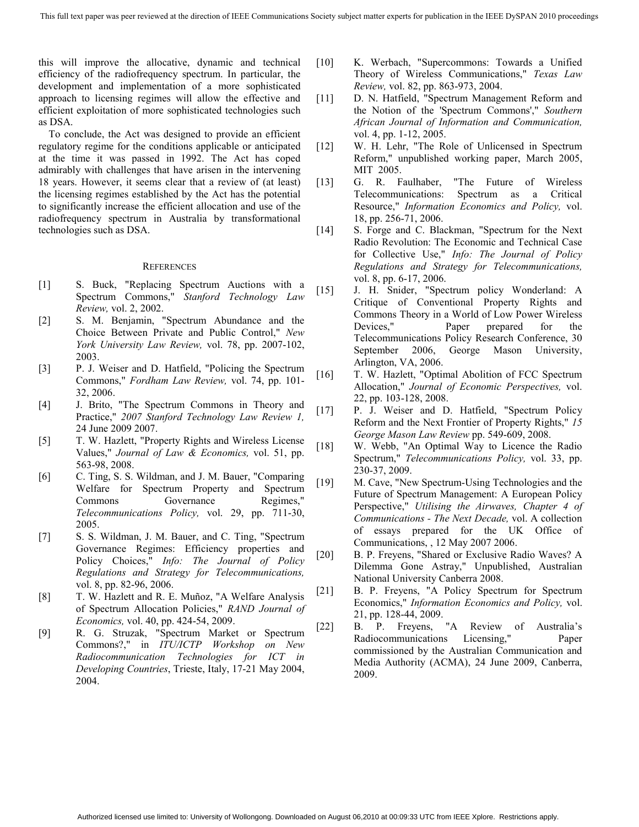this will improve the allocative, dynamic and technical efficiency of the radiofrequency spectrum. In particular, the development and implementation of a more sophisticated approach to licensing regimes will allow the effective and efficient exploitation of more sophisticated technologies such as DSA.

To conclude, the Act was designed to provide an efficient regulatory regime for the conditions applicable or anticipated at the time it was passed in 1992. The Act has coped admirably with challenges that have arisen in the intervening 18 years. However, it seems clear that a review of (at least) the licensing regimes established by the Act has the potential to significantly increase the efficient allocation and use of the radiofrequency spectrum in Australia by transformational technologies such as DSA.

#### **REFERENCES**

- [1] S. Buck, "Replacing Spectrum Auctions with a Spectrum Commons," *Stanford Technology Law Review,* vol. 2, 2002.
- [2] S. M. Benjamin, "Spectrum Abundance and the Choice Between Private and Public Control," *New York University Law Review,* vol. 78, pp. 2007-102, 2003.
- [3] P. J. Weiser and D. Hatfield, "Policing the Spectrum Commons," *Fordham Law Review,* vol. 74, pp. 101- 32, 2006.
- [4] J. Brito, "The Spectrum Commons in Theory and Practice," *2007 Stanford Technology Law Review 1,*  24 June 2009 2007.
- [5] T. W. Hazlett, "Property Rights and Wireless License Values," *Journal of Law & Economics,* vol. 51, pp. 563-98, 2008.
- [6] C. Ting, S. S. Wildman, and J. M. Bauer, "Comparing Welfare for Spectrum Property and Spectrum Commons Governance Regimes," *Telecommunications Policy,* vol. 29, pp. 711-30, 2005.
- [7] S. S. Wildman, J. M. Bauer, and C. Ting, "Spectrum Governance Regimes: Efficiency properties and Policy Choices," *Info: The Journal of Policy Regulations and Strategy for Telecommunications,*  vol. 8, pp. 82-96, 2006.
- [8] T. W. Hazlett and R. E. Muñoz, "A Welfare Analysis of Spectrum Allocation Policies," *RAND Journal of Economics,* vol. 40, pp. 424-54, 2009.
- [9] R. G. Struzak, "Spectrum Market or Spectrum Commons?," in *ITU/ICTP Workshop on New Radiocommunication Technologies for ICT in Developing Countries*, Trieste, Italy, 17-21 May 2004, 2004.
- [10] K. Werbach, "Supercommons: Towards a Unified Theory of Wireless Communications," *Texas Law Review,* vol. 82, pp. 863-973, 2004.
- [11] D. N. Hatfield, "Spectrum Management Reform and the Notion of the 'Spectrum Commons'," *Southern African Journal of Information and Communication,*  vol. 4, pp. 1-12, 2005.
- [12] W. H. Lehr, "The Role of Unlicensed in Spectrum Reform," unpublished working paper, March 2005, MIT 2005.
- [13] G. R. Faulhaber, "The Future of Wireless Telecommunications: Spectrum as a Critical Resource," *Information Economics and Policy,* vol. 18, pp. 256-71, 2006.
- [14] S. Forge and C. Blackman, "Spectrum for the Next" Radio Revolution: The Economic and Technical Case for Collective Use," *Info: The Journal of Policy Regulations and Strategy for Telecommunications,*  vol. 8, pp. 6-17, 2006.
- [15] J. H. Snider, "Spectrum policy Wonderland: A Critique of Conventional Property Rights and Commons Theory in a World of Low Power Wireless Devices," Paper prepared for the Telecommunications Policy Research Conference, 30 September 2006, George Mason University, Arlington, VA, 2006.
- [16] T. W. Hazlett, "Optimal Abolition of FCC Spectrum Allocation," *Journal of Economic Perspectives,* vol. 22, pp. 103-128, 2008.
- [17] P. J. Weiser and D. Hatfield, "Spectrum Policy Reform and the Next Frontier of Property Rights," *15 George Mason Law Review* pp. 549-609, 2008.
- [18] W. Webb, "An Optimal Way to Licence the Radio Spectrum," *Telecommunications Policy,* vol. 33, pp. 230-37, 2009.
- [19] M. Cave, "New Spectrum-Using Technologies and the Future of Spectrum Management: A European Policy Perspective," *Utilising the Airwaves, Chapter 4 of Communications - The Next Decade,* vol. A collection of essays prepared for the UK Office of Communications, , 12 May 2007 2006.
- [20] B. P. Freyens, "Shared or Exclusive Radio Waves? A Dilemma Gone Astray," Unpublished, Australian National University Canberra 2008.
- [21] B. P. Freyens, "A Policy Spectrum for Spectrum Economics," *Information Economics and Policy,* vol. 21, pp. 128-44, 2009.
- [22] B. P. Freyens, "A Review of Australia's Radiocommunications Licensing," Paper commissioned by the Australian Communication and Media Authority (ACMA), 24 June 2009, Canberra, 2009.